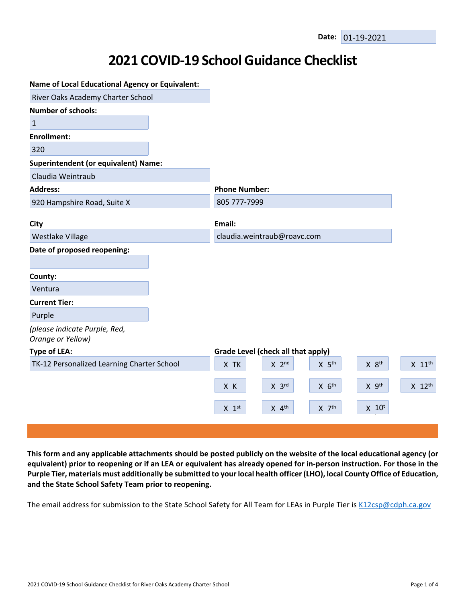## **2021 COVID-19 School Guidance Checklist**

| <b>Name of Local Educational Agency or Equivalent:</b> |                                                                       |                      |
|--------------------------------------------------------|-----------------------------------------------------------------------|----------------------|
| River Oaks Academy Charter School                      |                                                                       |                      |
| <b>Number of schools:</b>                              |                                                                       |                      |
| $1\,$                                                  |                                                                       |                      |
| <b>Enrollment:</b>                                     |                                                                       |                      |
| 320                                                    |                                                                       |                      |
| <b>Superintendent (or equivalent) Name:</b>            |                                                                       |                      |
| Claudia Weintraub                                      |                                                                       |                      |
| <b>Address:</b>                                        | <b>Phone Number:</b>                                                  |                      |
| 920 Hampshire Road, Suite X                            | 805 777-7999                                                          |                      |
|                                                        |                                                                       |                      |
| City                                                   | Email:                                                                |                      |
| Westlake Village                                       | claudia.weintraub@roavc.com                                           |                      |
| Date of proposed reopening:                            |                                                                       |                      |
| County:                                                |                                                                       |                      |
| Ventura                                                |                                                                       |                      |
| <b>Current Tier:</b>                                   |                                                                       |                      |
| Purple                                                 |                                                                       |                      |
| (please indicate Purple, Red,<br>Orange or Yellow)     |                                                                       |                      |
| <b>Type of LEA:</b>                                    | Grade Level (check all that apply)                                    |                      |
| TK-12 Personalized Learning Charter School             | X 8 <sup>th</sup><br>X TK<br>$X$ 2 <sup>nd</sup><br>X 5 <sup>th</sup> | $X$ 11 <sup>th</sup> |
|                                                        | $X$ $6th$<br>X 9th<br>X K<br>$X$ 3rd                                  | $X$ 12 <sup>th</sup> |
|                                                        | $X$ 4 <sup>th</sup><br>$X$ $7th$<br>$X$ 10 <sup>t</sup><br>$X$ 1st    |                      |
|                                                        |                                                                       |                      |

This form and any applicable attachments should be posted publicly on the website of the local educational agency (or equivalent) prior to reopening or if an LEA or equivalent has already opened for in-person instruction. For those in the Purple Tier, materials must additionally be submitted to your local health officer (LHO), local County Office of Education, **and the State School Safety Team prior to reopening.**

The email address for submission to the State School Safety for All Team for LEAs in Purple Tier is [K12csp@cdph.ca.gov](mailto:K12csp@cdph.ca.gov)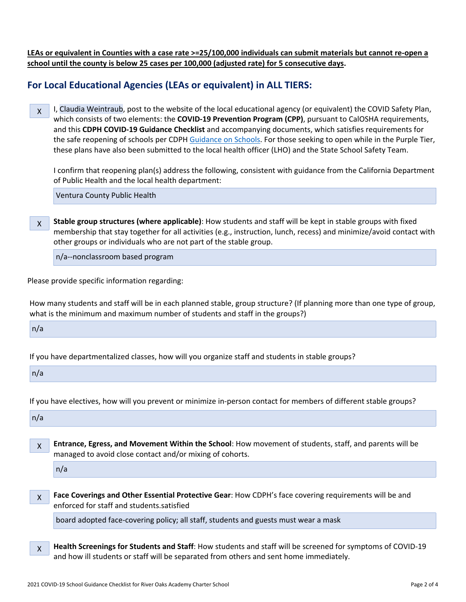LEAs or equivalent in Counties with a case rate >=25/100,000 individuals can submit materials but cannot re-open a **school until the county is below 25 cases per 100,000 (adjusted rate) for 5 consecutive days.**

## **For Local Educational Agencies (LEAs or equivalent) in ALL TIERS:**

X I, Claudia Weintraub, post to the website of the local educational agency (or equivalent) the COVID Safety Plan, which consists of two elements: the **COVID-19 Prevention Program (CPP)**, pursuant to CalOSHA requirements, and this **CDPH COVID-19 Guidance Checklist** and accompanying documents, which satisfies requirements for the safe reopening of schools per CDPH [Guidance](https://www.cdph.ca.gov/Programs/CID/DCDC/CDPH%20Document%20Library/COVID-19/Consolidated_Schools_Guidance.pdf) on Schools. For those seeking to open while in the Purple Tier, these plans have also been submitted to the local health officer (LHO) and the State School Safety Team.

I confirm that reopening plan(s) address the following, consistent with guidance from the California Department of Public Health and the local health department:

Ventura County Public Health

X **Stable group structures (where applicable)**: How students and staff will be kept in stable groups with fixed membership that stay together for all activities (e.g., instruction, lunch, recess) and minimize/avoid contact with other groups or individuals who are not part of the stable group.

n/a--nonclassroom based program

Please provide specific information regarding:

How many students and staff will be in each planned stable, group structure? (If planning more than one type of group, what is the minimum and maximum number of students and staff in the groups?)

 $n/a$ 

If you have departmentalized classes, how will you organize staff and students in stable groups?

 $n/a$ 

If you have electives, how will you prevent or minimize in-person contact for members of different stable groups?

 $n/a$ 

X **Entrance, Egress, and Movement Within the School**: How movement of students, staff, and parents will be managed to avoid close contact and/or mixing of cohorts.

n/a

X **Face Coverings and Other Essential Protective Gear**: How CDPH's face covering requirements will be and enforced for staff and students.satisfied

board adopted face-covering policy; all staff, students and guests must wear a mask

X **Health Screenings for Students and Staff**: How students and staff will be screened for symptoms of COVID-19 and how ill students or staff will be separated from others and sent home immediately.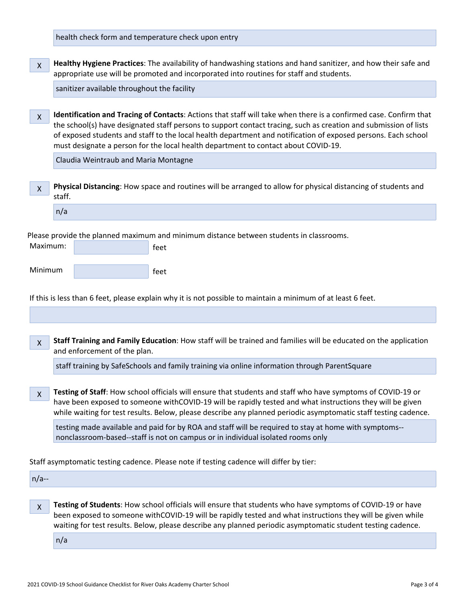health check form and temperature check upon entry

| $\bar{x}$ Healthy Hygiene Practices: The availability of handwashing stations and hand sanitizer, and how their safe and |
|--------------------------------------------------------------------------------------------------------------------------|
| appropriate use will be promoted and incorporated into routines for staff and students.                                  |

sanitizer available throughout the facility

X **Identification and Tracing of Contacts**: Actions that staff will take when there is a confirmed case. Confirm that the school(s) have designated staff persons to support contact tracing, such as creation and submission of lists of exposed students and staff to the local health department and notification of exposed persons. Each school must designate a person for the local health department to contact about COVID-19.

Claudia Weintraub and Maria Montagne

X **Physical Distancing**: How space and routines will be arranged to allow for physical distancing of students and staff.

| $n/\epsilon$ |  |  |
|--------------|--|--|
|              |  |  |

Please provide the planned maximum and minimum distance between students in classrooms.

| Maximum: | feet |
|----------|------|
| Minimum  |      |
|          | feet |

If this is less than 6 feet, please explain why it is not possible to maintain a minimum of at least 6 feet.

X **Staff Training and Family Education**: How staff will be trained and families will be educated on the application and enforcement of the plan.

staff training by SafeSchools and family training via online information through ParentSquare

X **Testing of Staff**: How school officials will ensure that students and staff who have symptoms of COVID-19 or have been exposed to someone withCOVID-19 will be rapidly tested and what instructions they will be given while waiting for test results. Below, please describe any planned periodic asymptomatic staff testing cadence.

testing made available and paid for by ROA and staff will be required to stay at home with symptoms- nonclassroom-based--staff is not on campus or in individual isolated rooms only

Staff asymptomatic testing cadence. Please note if testing cadence will differ by tier:

 $n/a$ --

X **Testing of Students**: How school officials will ensure that students who have symptoms of COVID-19 or have been exposed to someone withCOVID-19 will be rapidly tested and what instructions they will be given while waiting for test results. Below, please describe any planned periodic asymptomatic student testing cadence.

n/a